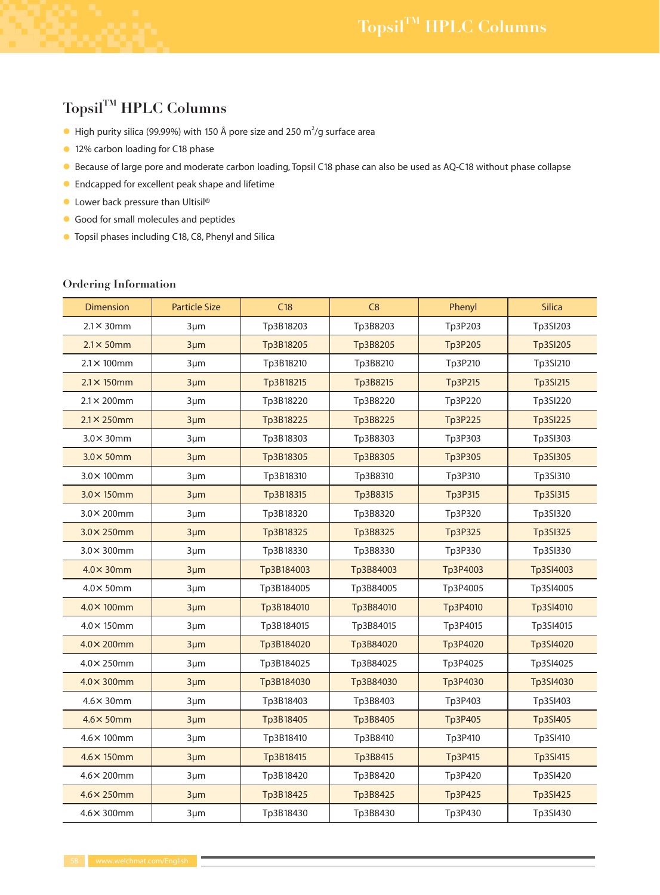## Topsil<sup>TM</sup> HPLC Columns

- $\bullet$  High purity silica (99.99%) with 150 Å pore size and 250 m<sup>2</sup>/g surface area
- 12% carbon loading for C18 phase
- Because of large pore and moderate carbon loading, Topsil C18 phase can also be used as AQ-C18 without phase collapse
- **•** Endcapped for excellent peak shape and lifetime
- $\bullet$  Lower back pressure than Ultisil®
- Good for small molecules and peptides
- **•** Topsil phases including C18, C8, Phenyl and Silica

## **Ordering Information**

| <b>Dimension</b>    | <b>Particle Size</b> | C18        | C8        | Phenyl   | <b>Silica</b>   |
|---------------------|----------------------|------------|-----------|----------|-----------------|
| $2.1 \times 30$ mm  | $3 \mu m$            | Tp3B18203  | Tp3B8203  | Tp3P203  | Tp3SI203        |
| $2.1 \times 50$ mm  | $3 \mu m$            | Tp3B18205  | Tp3B8205  | Tp3P205  | <b>Tp3SI205</b> |
| $2.1 \times 100$ mm | $3 \mu m$            | Tp3B18210  | Tp3B8210  | Tp3P210  | Tp3SI210        |
| $2.1 \times 150$ mm | $3 \mu m$            | Tp3B18215  | Tp3B8215  | Tp3P215  | Tp3SI215        |
| $2.1 \times 200$ mm | $3 \mu m$            | Tp3B18220  | Tp3B8220  | Tp3P220  | Tp3SI220        |
| $2.1 \times 250$ mm | $3 \mu m$            | Tp3B18225  | Tp3B8225  | Tp3P225  | <b>Tp3SI225</b> |
| $3.0\times 30$ mm   | $3 \mu m$            | Tp3B18303  | Tp3B8303  | Tp3P303  | Tp3SI303        |
| $3.0\times 50$ mm   | $3 \mu m$            | Tp3B18305  | Tp3B8305  | Tp3P305  | <b>Tp3SI305</b> |
| $3.0\times 100$ mm  | $3 \mu m$            | Tp3B18310  | Tp3B8310  | Tp3P310  | Tp3SI310        |
| $3.0\times 150$ mm  | $3 \mu m$            | Tp3B18315  | Tp3B8315  | Tp3P315  | Tp3SI315        |
| $3.0\times 200$ mm  | $3 \mu m$            | Tp3B18320  | Tp3B8320  | Tp3P320  | Tp3SI320        |
| $3.0\times 250$ mm  | $3 \mu m$            | Tp3B18325  | Tp3B8325  | Tp3P325  | <b>Tp3SI325</b> |
| $3.0\times 300$ mm  | 3µm                  | Tp3B18330  | Tp3B8330  | Tp3P330  | Tp3SI330        |
| $4.0\times 30$ mm   | $3 \mu m$            | Tp3B184003 | Tp3B84003 | Tp3P4003 | Tp3SI4003       |
| $4.0\times 50$ mm   | $3 \mu m$            | Tp3B184005 | Tp3B84005 | Tp3P4005 | Tp3SI4005       |
| $4.0\times 100$ mm  | $3 \mu m$            | Tp3B184010 | Tp3B84010 | Tp3P4010 | Tp3SI4010       |
| $4.0\times 150$ mm  | $3 \mu m$            | Tp3B184015 | Tp3B84015 | Tp3P4015 | Tp3SI4015       |
| $4.0\times 200$ mm  | $3 \mu m$            | Tp3B184020 | Tp3B84020 | Tp3P4020 | Tp3SI4020       |
| $4.0\times 250$ mm  | $3 \mu m$            | Tp3B184025 | Tp3B84025 | Tp3P4025 | Tp3SI4025       |
| $4.0\times 300$ mm  | $3 \mu m$            | Tp3B184030 | Tp3B84030 | Tp3P4030 | Tp3SI4030       |
| $4.6\times 30$ mm   | $3 \mu m$            | Tp3B18403  | Tp3B8403  | Tp3P403  | Tp3SI403        |
| $4.6 \times 50$ mm  | $3 \mu m$            | Tp3B18405  | Tp3B8405  | Tp3P405  | Tp3SI405        |
| 4.6× 100mm          | $3 \mu m$            | Tp3B18410  | Tp3B8410  | Tp3P410  | Tp3SI410        |
| $4.6 \times 150$ mm | $3 \mu m$            | Tp3B18415  | Tp3B8415  | Tp3P415  | Tp3SI415        |
| $4.6 \times 200$ mm | $3 \mu m$            | Tp3B18420  | Tp3B8420  | Tp3P420  | Tp3SI420        |
| $4.6 \times 250$ mm | $3 \mu m$            | Tp3B18425  | Tp3B8425  | Tp3P425  | <b>Tp3SI425</b> |
| $4.6 \times 300$ mm | $3 \mu m$            | Tp3B18430  | Tp3B8430  | Tp3P430  | Tp3SI430        |